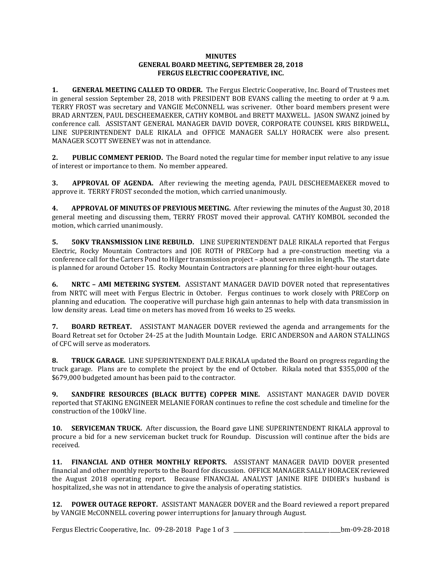## **MINUTES GENERAL BOARD MEETING, SEPTEMBER 28, 2018 FERGUS ELECTRIC COOPERATIVE, INC.**

**1. GENERAL MEETING CALLED TO ORDER.** The Fergus Electric Cooperative, Inc. Board of Trustees met in general session September 28, 2018 with PRESIDENT BOB EVANS calling the meeting to order at 9 a.m. TERRY FROST was secretary and VANGIE McCONNELL was scrivener. Other board members present were BRAD ARNTZEN, PAUL DESCHEEMAEKER, CATHY KOMBOL and BRETT MAXWELL. JASON SWANZ joined by conference call. ASSISTANT GENERAL MANAGER DAVID DOVER, CORPORATE COUNSEL KRIS BIRDWELL, LINE SUPERINTENDENT DALE RIKALA and OFFICE MANAGER SALLY HORACEK were also present. MANAGER SCOTT SWEENEY was not in attendance.

**2. PUBLIC COMMENT PERIOD.** The Board noted the regular time for member input relative to any issue of interest or importance to them. No member appeared.

**3. APPROVAL OF AGENDA.** After reviewing the meeting agenda, PAUL DESCHEEMAEKER moved to approve it. TERRY FROST seconded the motion, which carried unanimously.

**4. APPROVAL OF MINUTES OF PREVIOUS MEETING.** After reviewing the minutes of the August 30, 2018 general meeting and discussing them, TERRY FROST moved their approval. CATHY KOMBOL seconded the motion, which carried unanimously.

**5. 50KV TRANSMISSION LINE REBUILD.** LINE SUPERINTENDENT DALE RIKALA reported that Fergus Electric, Rocky Mountain Contractors and JOE ROTH of PRECorp had a pre-construction meeting via a conference call for the Carters Pond to Hilger transmission project – about seven miles in length**.** The start date is planned for around October 15. Rocky Mountain Contractors are planning for three eight-hour outages.

**6. NRTC – AMI METERING SYSTEM.** ASSISTANT MANAGER DAVID DOVER noted that representatives from NRTC will meet with Fergus Electric in October. Fergus continues to work closely with PRECorp on planning and education. The cooperative will purchase high gain antennas to help with data transmission in low density areas. Lead time on meters has moved from 16 weeks to 25 weeks.

**7. BOARD RETREAT.** ASSISTANT MANAGER DOVER reviewed the agenda and arrangements for the Board Retreat set for October 24-25 at the Judith Mountain Lodge. ERIC ANDERSON and AARON STALLINGS of CFC will serve as moderators.

**8. TRUCK GARAGE.** LINE SUPERINTENDENT DALE RIKALA updated the Board on progress regarding the truck garage. Plans are to complete the project by the end of October. Rikala noted that \$355,000 of the \$679,000 budgeted amount has been paid to the contractor.

**9. SANDFIRE RESOURCES (BLACK BUTTE) COPPER MINE.** ASSISTANT MANAGER DAVID DOVER reported that STAKING ENGINEER MELANIE FORAN continues to refine the cost schedule and timeline for the construction of the 100kV line.

**10. SERVICEMAN TRUCK.** After discussion, the Board gave LINE SUPERINTENDENT RIKALA approval to procure a bid for a new serviceman bucket truck for Roundup. Discussion will continue after the bids are received.

**11. FINANCIAL AND OTHER MONTHLY REPORTS.** ASSISTANT MANAGER DAVID DOVER presented financial and other monthly reports to the Board for discussion. OFFICE MANAGER SALLY HORACEK reviewed the August 2018 operating report. Because FINANCIAL ANALYST JANINE RIFE DIDIER's husband is hospitalized, she was not in attendance to give the analysis of operating statistics.

**12. POWER OUTAGE REPORT.** ASSISTANT MANAGER DOVER and the Board reviewed a report prepared by VANGIE McCONNELL covering power interruptions for January through August.

Fergus Electric Cooperative, Inc. 09-28-2018 Page 1 of 3 \_\_\_\_\_\_\_\_\_\_\_\_\_\_\_\_\_\_\_\_\_\_\_\_\_\_\_\_\_\_\_\_\_\_\_\_\_\_\_\_bm-09-28-2018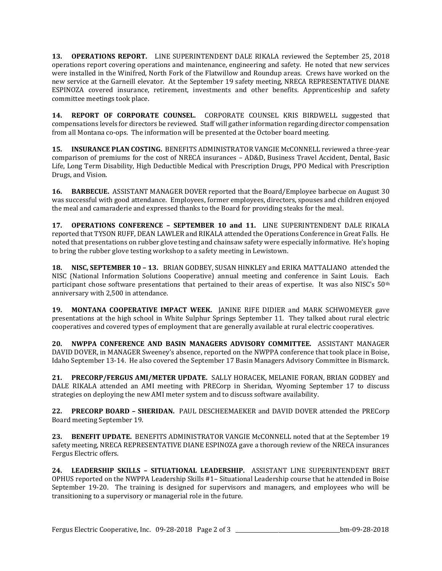**13. OPERATIONS REPORT.** LINE SUPERINTENDENT DALE RIKALA reviewed the September 25, 2018 operations report covering operations and maintenance, engineering and safety. He noted that new services were installed in the Winifred, North Fork of the Flatwillow and Roundup areas. Crews have worked on the new service at the Garneill elevator. At the September 19 safety meeting, NRECA REPRESENTATIVE DIANE ESPINOZA covered insurance, retirement, investments and other benefits. Apprenticeship and safety committee meetings took place.

**14. REPORT OF CORPORATE COUNSEL.** CORPORATE COUNSEL KRIS BIRDWELL suggested that compensations levels for directors be reviewed. Staff will gather information regarding director compensation from all Montana co-ops. The information will be presented at the October board meeting.

**15. INSURANCE PLAN COSTING.** BENEFITS ADMINISTRATOR VANGIE McCONNELL reviewed a three-year comparison of premiums for the cost of NRECA insurances – AD&D, Business Travel Accident, Dental, Basic Life, Long Term Disability, High Deductible Medical with Prescription Drugs, PPO Medical with Prescription Drugs, and Vision.

**16. BARBECUE.** ASSISTANT MANAGER DOVER reported that the Board/Employee barbecue on August 30 was successful with good attendance. Employees, former employees, directors, spouses and children enjoyed the meal and camaraderie and expressed thanks to the Board for providing steaks for the meal.

**17. OPERATIONS CONFERENCE – SEPTEMBER 10 and 11.** LINE SUPERINTENDENT DALE RIKALA reported that TYSON RUFF, DEAN LAWLER and RIKALA attended the Operations Conference in Great Falls. He noted that presentations on rubber glove testing and chainsaw safety were especially informative. He's hoping to bring the rubber glove testing workshop to a safety meeting in Lewistown.

**18. NISC, SEPTEMBER 10 – 13.** BRIAN GODBEY, SUSAN HINKLEY and ERIKA MATTALIANO attended the NISC (National Information Solutions Cooperative) annual meeting and conference in Saint Louis. Each participant chose software presentations that pertained to their areas of expertise. It was also NISC's 50<sup>th</sup> anniversary with 2,500 in attendance.

**19. MONTANA COOPERATIVE IMPACT WEEK.** JANINE RIFE DIDIER and MARK SCHWOMEYER gave presentations at the high school in White Sulphur Springs September 11. They talked about rural electric cooperatives and covered types of employment that are generally available at rural electric cooperatives.

**20. NWPPA CONFERENCE AND BASIN MANAGERS ADVISORY COMMITTEE.** ASSISTANT MANAGER DAVID DOVER, in MANAGER Sweeney's absence, reported on the NWPPA conference that took place in Boise, Idaho September 13-14. He also covered the September 17 Basin Managers Advisory Committee in Bismarck.

**21. PRECORP/FERGUS AMI/METER UPDATE.** SALLY HORACEK, MELANIE FORAN, BRIAN GODBEY and DALE RIKALA attended an AMI meeting with PRECorp in Sheridan, Wyoming September 17 to discuss strategies on deploying the new AMI meter system and to discuss software availability.

**22. PRECORP BOARD – SHERIDAN.** PAUL DESCHEEMAEKER and DAVID DOVER attended the PRECorp Board meeting September 19.

**23. BENEFIT UPDATE.** BENEFITS ADMINISTRATOR VANGIE McCONNELL noted that at the September 19 safety meeting, NRECA REPRESENTATIVE DIANE ESPINOZA gave a thorough review of the NRECA insurances Fergus Electric offers.

**24. LEADERSHIP SKILLS – SITUATIONAL LEADERSHIP.** ASSISTANT LINE SUPERINTENDENT BRET OPHUS reported on the NWPPA Leadership Skills #1– Situational Leadership course that he attended in Boise September 19-20. The training is designed for supervisors and managers, and employees who will be transitioning to a supervisory or managerial role in the future.